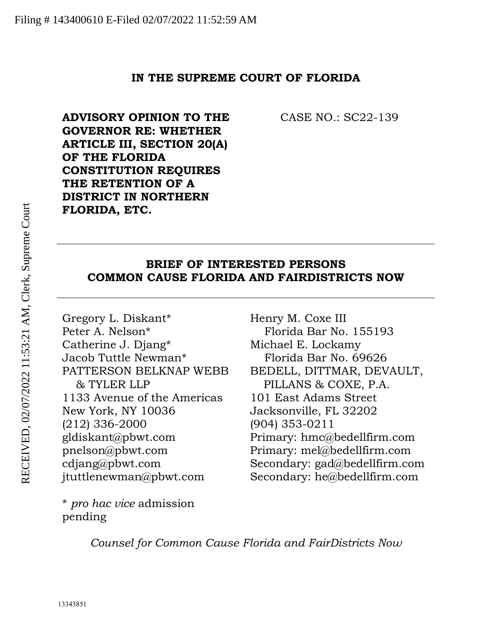#### **IN THE SUPREME COURT OF FLORIDA**

**ADVISORY OPINION TO THE GOVERNOR RE: WHETHER ARTICLE III, SECTION 20(A) OF THE FLORIDA CONSTITUTION REQUIRES THE RETENTION OF A DISTRICT IN NORTHERN FLORIDA, ETC.**

CASE NO.: SC22-139

### **BRIEF OF INTERESTED PERSONS COMMON CAUSE FLORIDA AND FAIRDISTRICTS NOW**

Gregory L. Diskant\* Peter A. Nelson\* Catherine J. Djang\* Jacob Tuttle Newman\* PATTERSON BELKNAP WEBB & TYLER LLP 1133 Avenue of the Americas New York, NY 10036 (212) 336-2000 gldiskant@pbwt.com pnelson@pbwt.com cdjang@pbwt.com jtuttlenewman@pbwt.com

\* *pro hac vice* admission pending

Henry M. Coxe III Florida Bar No. 155193 Michael E. Lockamy Florida Bar No. 69626 BEDELL, DITTMAR, DEVAULT, PILLANS & COXE, P.A. 101 East Adams Street Jacksonville, FL 32202 (904) 353-0211 Primary: hmc@bedellfirm.com Primary: mel@bedellfirm.com Secondary: gad@bedellfirm.com Secondary: he@bedellfirm.com

*Counsel for Common Cause Florida and FairDistricts Now*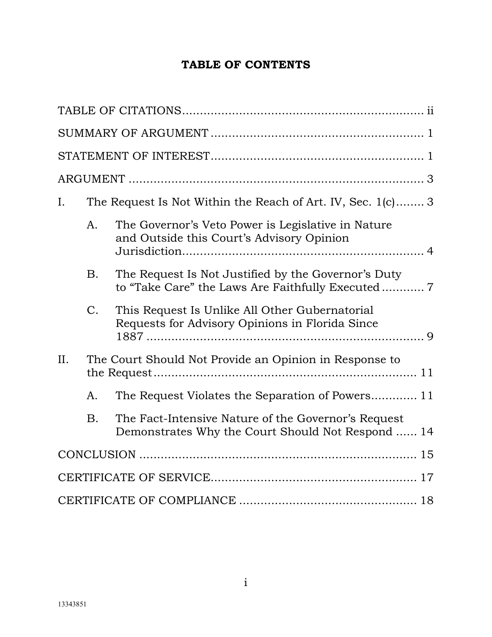# **TABLE OF CONTENTS**

| Ι.  |             | The Request Is Not Within the Reach of Art. IV, Sec. 1(c) 3                                              |
|-----|-------------|----------------------------------------------------------------------------------------------------------|
|     | A.          | The Governor's Veto Power is Legislative in Nature<br>and Outside this Court's Advisory Opinion          |
|     | <b>B.</b>   | The Request Is Not Justified by the Governor's Duty                                                      |
|     | $C_{\cdot}$ | This Request Is Unlike All Other Gubernatorial<br>Requests for Advisory Opinions in Florida Since        |
| II. |             | The Court Should Not Provide an Opinion in Response to                                                   |
|     | A.          | The Request Violates the Separation of Powers 11                                                         |
|     | <b>B.</b>   | The Fact-Intensive Nature of the Governor's Request<br>Demonstrates Why the Court Should Not Respond  14 |
|     |             |                                                                                                          |
|     |             |                                                                                                          |
|     |             |                                                                                                          |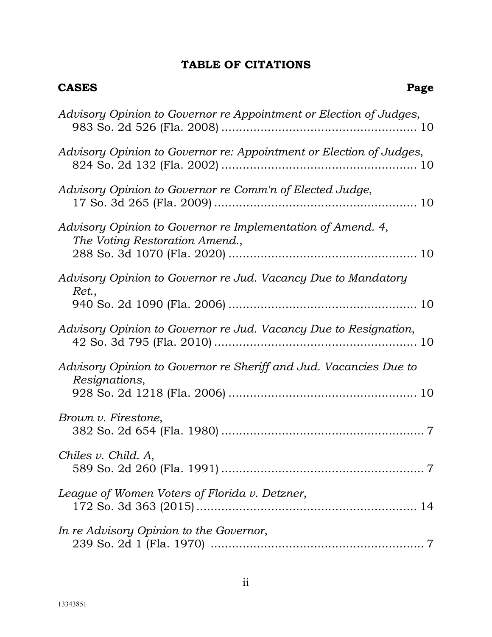# **TABLE OF CITATIONS**

<span id="page-2-0"></span>**CASES Page**

| Advisory Opinion to Governor re Appointment or Election of Judges,                            |
|-----------------------------------------------------------------------------------------------|
| Advisory Opinion to Governor re: Appointment or Election of Judges,                           |
| Advisory Opinion to Governor re Comm'n of Elected Judge,                                      |
| Advisory Opinion to Governor re Implementation of Amend. 4,<br>The Voting Restoration Amend., |
| Advisory Opinion to Governor re Jud. Vacancy Due to Mandatory<br>Ret.,                        |
| Advisory Opinion to Governor re Jud. Vacancy Due to Resignation,                              |
| Advisory Opinion to Governor re Sheriff and Jud. Vacancies Due to<br>Resignations,            |
| Brown v. Firestone,                                                                           |
| Chiles v. Child. A,                                                                           |
| League of Women Voters of Florida v. Detzner,                                                 |
| In re Advisory Opinion to the Governor,                                                       |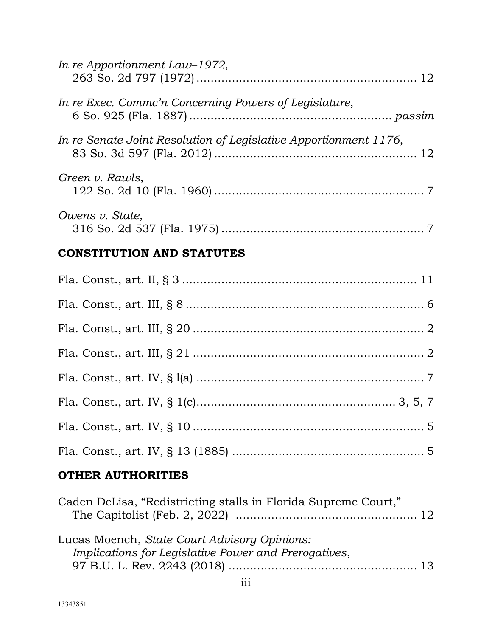| <b>OTHER AUTHORITIES</b>                                         |
|------------------------------------------------------------------|
|                                                                  |
|                                                                  |
|                                                                  |
|                                                                  |
|                                                                  |
|                                                                  |
|                                                                  |
|                                                                  |
| <b>CONSTITUTION AND STATUTES</b>                                 |
| <i>Owens v. State,</i>                                           |
| Green v. Rawls,                                                  |
| In re Senate Joint Resolution of Legislative Apportionment 1176, |
| In re Exec. Commc'n Concerning Powers of Legislature,            |
| In re Apportionment Law-1972,                                    |

| Caden DeLisa, "Redistricting stalls in Florida Supreme Court,"                                       |  |
|------------------------------------------------------------------------------------------------------|--|
| Lucas Moench, State Court Advisory Opinions:<br>Implications for Legislative Power and Prerogatives, |  |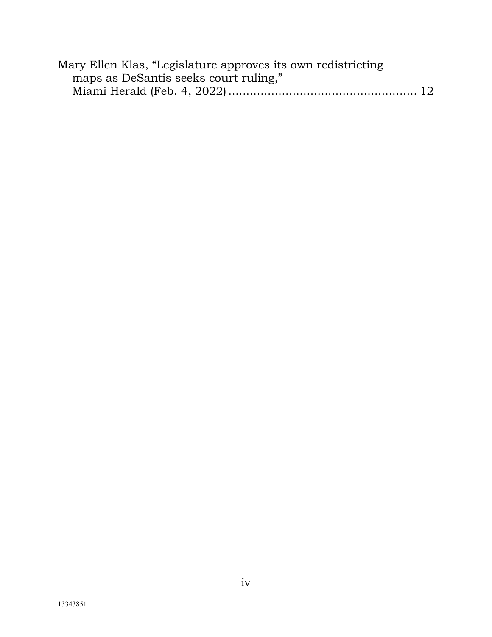| Mary Ellen Klas, "Legislature approves its own redistricting |  |
|--------------------------------------------------------------|--|
| maps as DeSantis seeks court ruling,"                        |  |
|                                                              |  |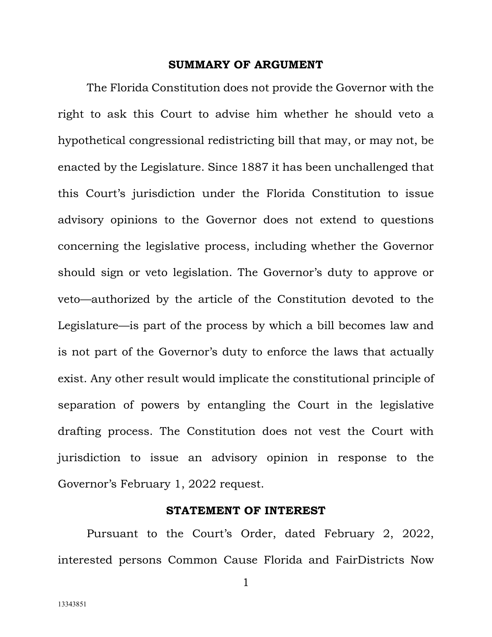#### **SUMMARY OF ARGUMENT**

<span id="page-5-0"></span>The Florida Constitution does not provide the Governor with the right to ask this Court to advise him whether he should veto a hypothetical congressional redistricting bill that may, or may not, be enacted by the Legislature. Since 1887 it has been unchallenged that this Court's jurisdiction under the Florida Constitution to issue advisory opinions to the Governor does not extend to questions concerning the legislative process, including whether the Governor should sign or veto legislation. The Governor's duty to approve or veto—authorized by the article of the Constitution devoted to the Legislature—is part of the process by which a bill becomes law and is not part of the Governor's duty to enforce the laws that actually exist. Any other result would implicate the constitutional principle of separation of powers by entangling the Court in the legislative drafting process. The Constitution does not vest the Court with jurisdiction to issue an advisory opinion in response to the Governor's February 1, 2022 request.

#### **STATEMENT OF INTEREST**

<span id="page-5-1"></span>Pursuant to the Court's Order, dated February 2, 2022, interested persons Common Cause Florida and FairDistricts Now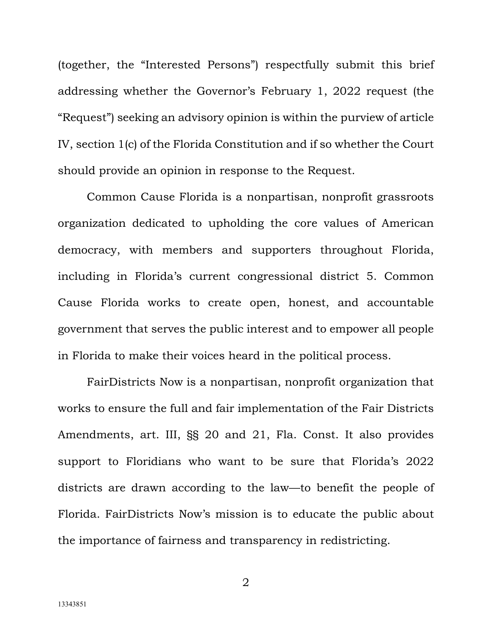(together, the "Interested Persons") respectfully submit this brief addressing whether the Governor's February 1, 2022 request (the "Request") seeking an advisory opinion is within the purview of article IV, section 1(c) of the Florida Constitution and if so whether the Court should provide an opinion in response to the Request.

Common Cause Florida is a nonpartisan, nonprofit grassroots organization dedicated to upholding the core values of American democracy, with members and supporters throughout Florida, including in Florida's current congressional district 5. Common Cause Florida works to create open, honest, and accountable government that serves the public interest and to empower all people in Florida to make their voices heard in the political process.

FairDistricts Now is a nonpartisan, nonprofit organization that works to ensure the full and fair implementation of the Fair Districts Amendments, art. III, §§ 20 and 21, Fla. Const. It also provides support to Floridians who want to be sure that Florida's 2022 districts are drawn according to the law—to benefit the people of Florida. FairDistricts Now's mission is to educate the public about the importance of fairness and transparency in redistricting.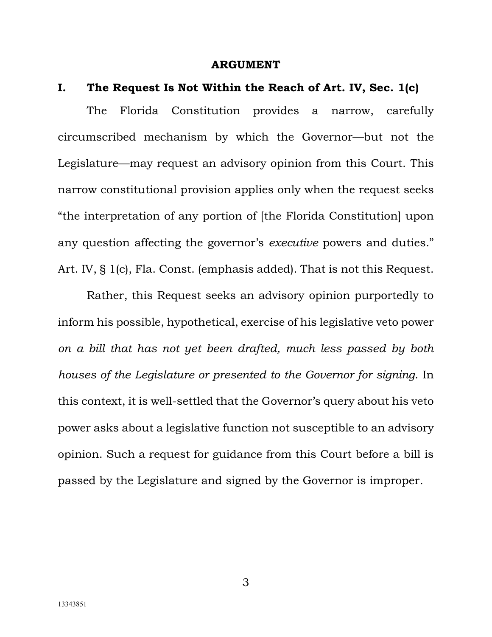#### **ARGUMENT**

#### <span id="page-7-1"></span><span id="page-7-0"></span>**I. The Request Is Not Within the Reach of Art. IV, Sec. 1(c)**

The Florida Constitution provides a narrow, carefully circumscribed mechanism by which the Governor—but not the Legislature—may request an advisory opinion from this Court. This narrow constitutional provision applies only when the request seeks "the interpretation of any portion of [the Florida Constitution] upon any question affecting the governor's *executive* powers and duties." Art. IV, § 1(c), Fla. Const. (emphasis added). That is not this Request.

Rather, this Request seeks an advisory opinion purportedly to inform his possible, hypothetical, exercise of his legislative veto power *on a bill that has not yet been drafted, much less passed by both houses of the Legislature or presented to the Governor for signing*. In this context, it is well-settled that the Governor's query about his veto power asks about a legislative function not susceptible to an advisory opinion. Such a request for guidance from this Court before a bill is passed by the Legislature and signed by the Governor is improper.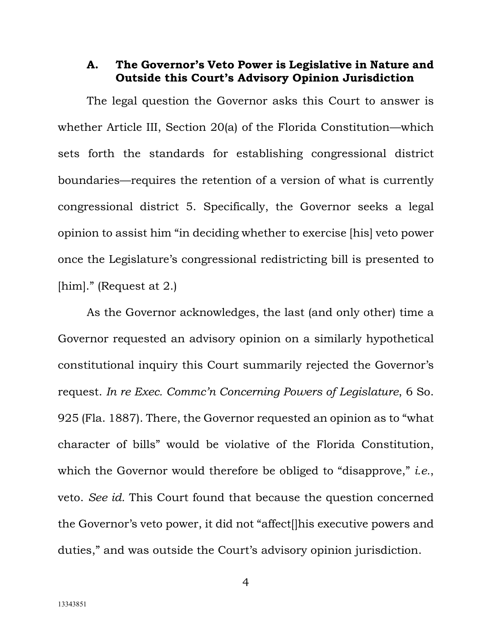## <span id="page-8-0"></span>**A. The Governor's Veto Power is Legislative in Nature and Outside this Court's Advisory Opinion Jurisdiction**

The legal question the Governor asks this Court to answer is whether Article III, Section 20(a) of the Florida Constitution—which sets forth the standards for establishing congressional district boundaries—requires the retention of a version of what is currently congressional district 5. Specifically, the Governor seeks a legal opinion to assist him "in deciding whether to exercise [his] veto power once the Legislature's congressional redistricting bill is presented to [him]." (Request at 2.)

As the Governor acknowledges, the last (and only other) time a Governor requested an advisory opinion on a similarly hypothetical constitutional inquiry this Court summarily rejected the Governor's request. *In re Exec. Commc'n Concerning Powers of Legislature*, 6 So. 925 (Fla. 1887). There, the Governor requested an opinion as to "what character of bills" would be violative of the Florida Constitution, which the Governor would therefore be obliged to "disapprove," *i.e.*, veto. *See id.* This Court found that because the question concerned the Governor's veto power, it did not "affect[]his executive powers and duties," and was outside the Court's advisory opinion jurisdiction.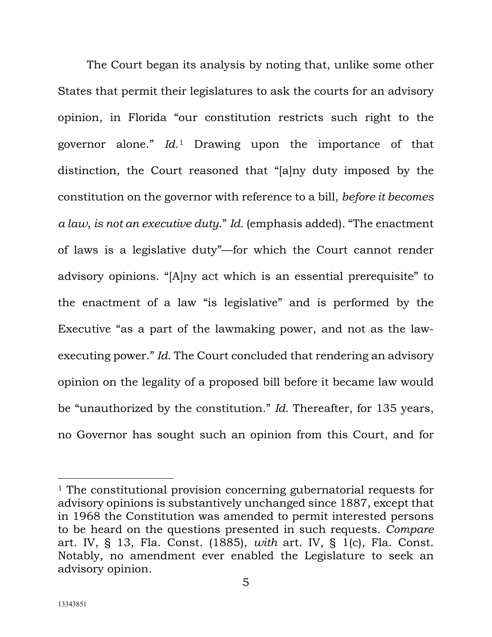The Court began its analysis by noting that, unlike some other States that permit their legislatures to ask the courts for an advisory opinion, in Florida "our constitution restricts such right to the governor alone." *Id.*[1](#page-9-0) Drawing upon the importance of that distinction, the Court reasoned that "[a]ny duty imposed by the constitution on the governor with reference to a bill, *before it becomes a law*, *is not an executive duty*." *Id.* (emphasis added). "The enactment of laws is a legislative duty"—for which the Court cannot render advisory opinions. "[A]ny act which is an essential prerequisite" to the enactment of a law "is legislative" and is performed by the Executive "as a part of the lawmaking power, and not as the lawexecuting power." *Id.* The Court concluded that rendering an advisory opinion on the legality of a proposed bill before it became law would be "unauthorized by the constitution." *Id.* Thereafter, for 135 years, no Governor has sought such an opinion from this Court, and for

<span id="page-9-0"></span><sup>&</sup>lt;sup>1</sup> The constitutional provision concerning gubernatorial requests for advisory opinions is substantively unchanged since 1887, except that in 1968 the Constitution was amended to permit interested persons to be heard on the questions presented in such requests. *Compare*  art. IV, § 13, Fla. Const. (1885), *with* art. IV, § 1(c), Fla. Const. Notably, no amendment ever enabled the Legislature to seek an advisory opinion.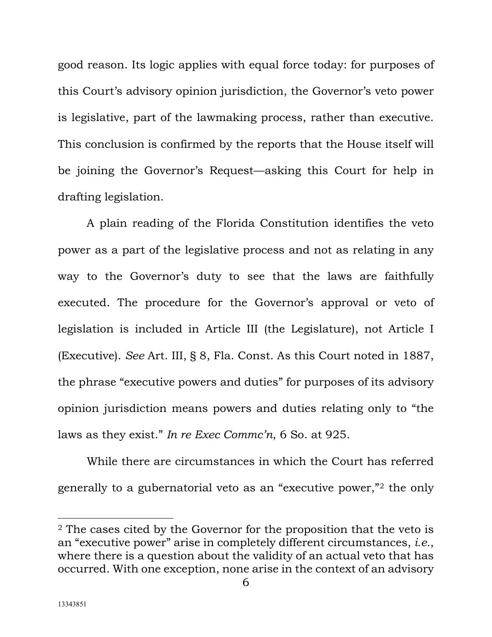good reason. Its logic applies with equal force today: for purposes of this Court's advisory opinion jurisdiction, the Governor's veto power is legislative, part of the lawmaking process, rather than executive. This conclusion is confirmed by the reports that the House itself will be joining the Governor's Request—asking this Court for help in drafting legislation.

A plain reading of the Florida Constitution identifies the veto power as a part of the legislative process and not as relating in any way to the Governor's duty to see that the laws are faithfully executed. The procedure for the Governor's approval or veto of legislation is included in Article III (the Legislature), not Article I (Executive). *See* Art. III, § 8, Fla. Const. As this Court noted in 1887, the phrase "executive powers and duties" for purposes of its advisory opinion jurisdiction means powers and duties relating only to "the laws as they exist." *In re Exec Commc'n*, 6 So. at 925.

While there are circumstances in which the Court has referred generally to a gubernatorial veto as an "executive power,"[2](#page-10-0) the only

<span id="page-10-0"></span><sup>&</sup>lt;sup>2</sup> The cases cited by the Governor for the proposition that the veto is an "executive power" arise in completely different circumstances, *i.e.*, where there is a question about the validity of an actual veto that has occurred. With one exception, none arise in the context of an advisory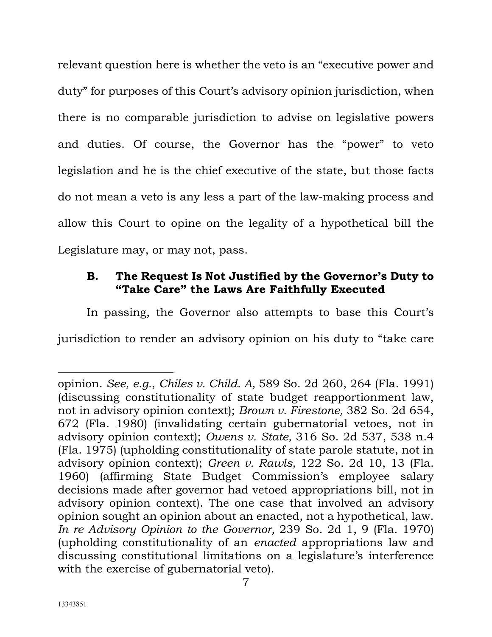relevant question here is whether the veto is an "executive power and duty" for purposes of this Court's advisory opinion jurisdiction, when there is no comparable jurisdiction to advise on legislative powers and duties. Of course, the Governor has the "power" to veto legislation and he is the chief executive of the state, but those facts do not mean a veto is any less a part of the law-making process and allow this Court to opine on the legality of a hypothetical bill the Legislature may, or may not, pass.

# <span id="page-11-0"></span>**B. The Request Is Not Justified by the Governor's Duty to "Take Care" the Laws Are Faithfully Executed**

In passing, the Governor also attempts to base this Court's jurisdiction to render an advisory opinion on his duty to "take care

opinion. *See, e.g.*, *Chiles v. Child. A,* 589 So. 2d 260, 264 (Fla. 1991) (discussing constitutionality of state budget reapportionment law, not in advisory opinion context); *Brown v. Firestone,* 382 So. 2d 654, 672 (Fla. 1980) (invalidating certain gubernatorial vetoes, not in advisory opinion context); *Owens v. State,* 316 So. 2d 537, 538 n.4 (Fla. 1975) (upholding constitutionality of state parole statute, not in advisory opinion context); *Green v. Rawls,* 122 So. 2d 10, 13 (Fla. 1960) (affirming State Budget Commission's employee salary decisions made after governor had vetoed appropriations bill, not in advisory opinion context). The one case that involved an advisory opinion sought an opinion about an enacted, not a hypothetical, law. *In re Advisory Opinion to the Governor,* 239 So. 2d 1, 9 (Fla. 1970) (upholding constitutionality of an *enacted* appropriations law and discussing constitutional limitations on a legislature's interference with the exercise of gubernatorial veto).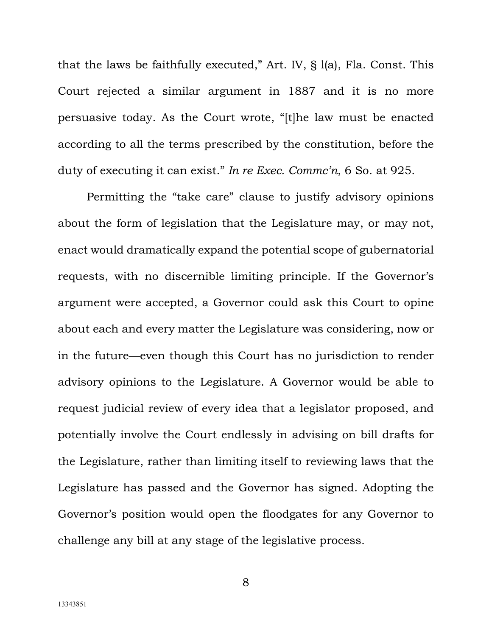that the laws be faithfully executed," Art. IV, § l(a), Fla. Const. This Court rejected a similar argument in 1887 and it is no more persuasive today. As the Court wrote, "[t]he law must be enacted according to all the terms prescribed by the constitution, before the duty of executing it can exist." *In re Exec. Commc'n*, 6 So. at 925.

Permitting the "take care" clause to justify advisory opinions about the form of legislation that the Legislature may, or may not, enact would dramatically expand the potential scope of gubernatorial requests, with no discernible limiting principle. If the Governor's argument were accepted, a Governor could ask this Court to opine about each and every matter the Legislature was considering, now or in the future—even though this Court has no jurisdiction to render advisory opinions to the Legislature. A Governor would be able to request judicial review of every idea that a legislator proposed, and potentially involve the Court endlessly in advising on bill drafts for the Legislature, rather than limiting itself to reviewing laws that the Legislature has passed and the Governor has signed. Adopting the Governor's position would open the floodgates for any Governor to challenge any bill at any stage of the legislative process.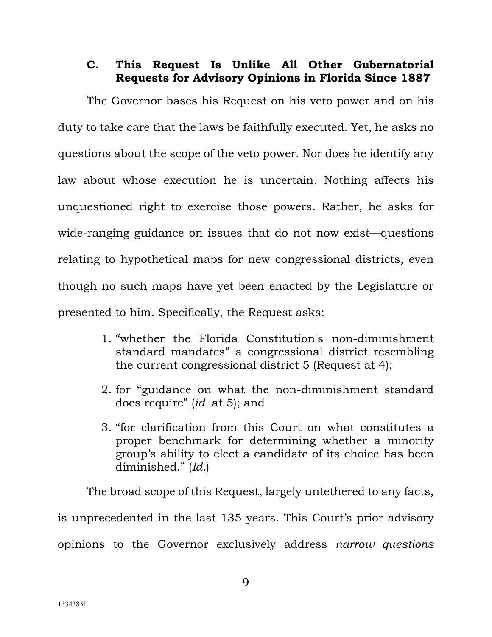# <span id="page-13-0"></span>**C. This Request Is Unlike All Other Gubernatorial Requests for Advisory Opinions in Florida Since 1887**

The Governor bases his Request on his veto power and on his duty to take care that the laws be faithfully executed. Yet, he asks no questions about the scope of the veto power. Nor does he identify any law about whose execution he is uncertain. Nothing affects his unquestioned right to exercise those powers. Rather, he asks for wide-ranging guidance on issues that do not now exist—questions relating to hypothetical maps for new congressional districts, even though no such maps have yet been enacted by the Legislature or presented to him. Specifically, the Request asks:

- 1. "whether the Florida Constitution's non-diminishment standard mandates" a congressional district resembling the current congressional district 5 (Request at 4);
- 2. for "guidance on what the non-diminishment standard does require" (*id.* at 5); and
- 3. "for clarification from this Court on what constitutes a proper benchmark for determining whether a minority group's ability to elect a candidate of its choice has been diminished." (*Id.*)

The broad scope of this Request, largely untethered to any facts, is unprecedented in the last 135 years. This Court's prior advisory opinions to the Governor exclusively address *narrow questions*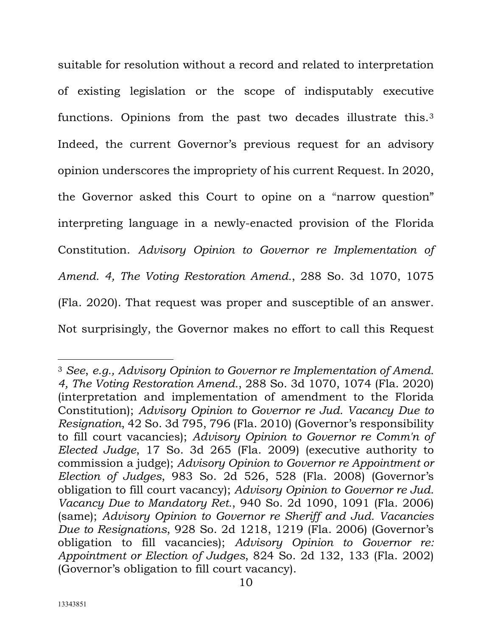suitable for resolution without a record and related to interpretation of existing legislation or the scope of indisputably executive functions. Opinions from the past two decades illustrate this.[3](#page-14-0) Indeed, the current Governor's previous request for an advisory opinion underscores the impropriety of his current Request. In 2020, the Governor asked this Court to opine on a "narrow question" interpreting language in a newly-enacted provision of the Florida Constitution. *Advisory Opinion to Governor re Implementation of Amend. 4, The Voting Restoration Amend.*, 288 So. 3d 1070, 1075 (Fla. 2020). That request was proper and susceptible of an answer. Not surprisingly, the Governor makes no effort to call this Request

<span id="page-14-0"></span><sup>3</sup> *See*, *e.g., Advisory Opinion to Governor re Implementation of Amend. 4, The Voting Restoration Amend.*, 288 So. 3d 1070, 1074 (Fla. 2020) (interpretation and implementation of amendment to the Florida Constitution); *Advisory Opinion to Governor re Jud. Vacancy Due to Resignation*, 42 So. 3d 795, 796 (Fla. 2010) (Governor's responsibility to fill court vacancies); *Advisory Opinion to Governor re Comm'n of Elected Judge*, 17 So. 3d 265 (Fla. 2009) (executive authority to commission a judge); *Advisory Opinion to Governor re Appointment or Election of Judges*, 983 So. 2d 526, 528 (Fla. 2008) (Governor's obligation to fill court vacancy); *Advisory Opinion to Governor re Jud. Vacancy Due to Mandatory Ret.*, 940 So. 2d 1090, 1091 (Fla. 2006) (same); *Advisory Opinion to Governor re Sheriff and Jud. Vacancies Due to Resignations*, 928 So. 2d 1218, 1219 (Fla. 2006) (Governor's obligation to fill vacancies); *Advisory Opinion to Governor re: Appointment or Election of Judges*, 824 So. 2d 132, 133 (Fla. 2002) (Governor's obligation to fill court vacancy).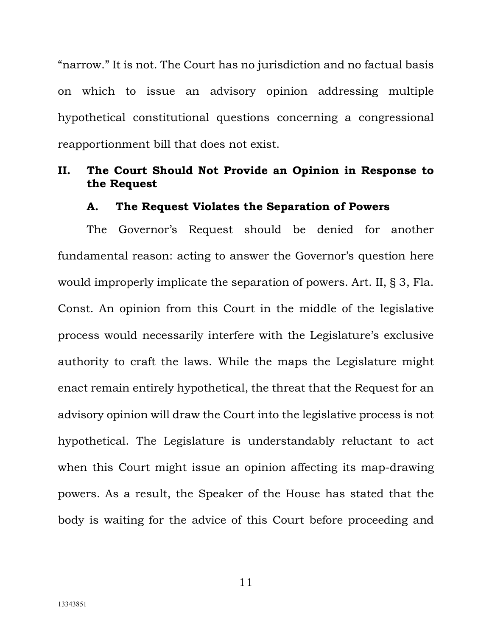"narrow." It is not. The Court has no jurisdiction and no factual basis on which to issue an advisory opinion addressing multiple hypothetical constitutional questions concerning a congressional reapportionment bill that does not exist.

## <span id="page-15-0"></span>**II. The Court Should Not Provide an Opinion in Response to the Request**

#### **A. The Request Violates the Separation of Powers**

<span id="page-15-1"></span>The Governor's Request should be denied for another fundamental reason: acting to answer the Governor's question here would improperly implicate the separation of powers. Art. II, § 3, Fla. Const. An opinion from this Court in the middle of the legislative process would necessarily interfere with the Legislature's exclusive authority to craft the laws. While the maps the Legislature might enact remain entirely hypothetical, the threat that the Request for an advisory opinion will draw the Court into the legislative process is not hypothetical. The Legislature is understandably reluctant to act when this Court might issue an opinion affecting its map-drawing powers. As a result, the Speaker of the House has stated that the body is waiting for the advice of this Court before proceeding and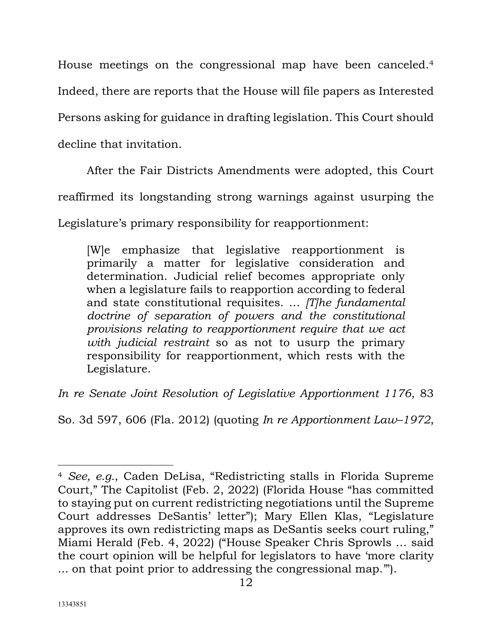House meetings on the congressional map have been canceled[.4](#page-16-0)

Indeed, there are reports that the House will file papers as Interested

Persons asking for guidance in drafting legislation. This Court should

decline that invitation.

After the Fair Districts Amendments were adopted, this Court

reaffirmed its longstanding strong warnings against usurping the

Legislature's primary responsibility for reapportionment:

[W]e emphasize that legislative reapportionment is primarily a matter for legislative consideration and determination. Judicial relief becomes appropriate only when a legislature fails to reapportion according to federal and state constitutional requisites. … *[T]he fundamental doctrine of separation of powers and the constitutional provisions relating to reapportionment require that we act with judicial restraint* so as not to usurp the primary responsibility for reapportionment, which rests with the Legislature.

*In re Senate Joint Resolution of Legislative Apportionment 1176*, 83

So. 3d 597, 606 (Fla. 2012) (quoting *In re Apportionment Law–1972*,

<span id="page-16-0"></span><sup>4</sup> *See, e.g.*, Caden DeLisa, "Redistricting stalls in Florida Supreme Court," The Capitolist (Feb. 2, 2022) (Florida House "has committed to staying put on current redistricting negotiations until the Supreme Court addresses DeSantis' letter"); Mary Ellen Klas, "Legislature approves its own redistricting maps as DeSantis seeks court ruling," Miami Herald (Feb. 4, 2022) ("House Speaker Chris Sprowls … said the court opinion will be helpful for legislators to have 'more clarity ... on that point prior to addressing the congressional map.'").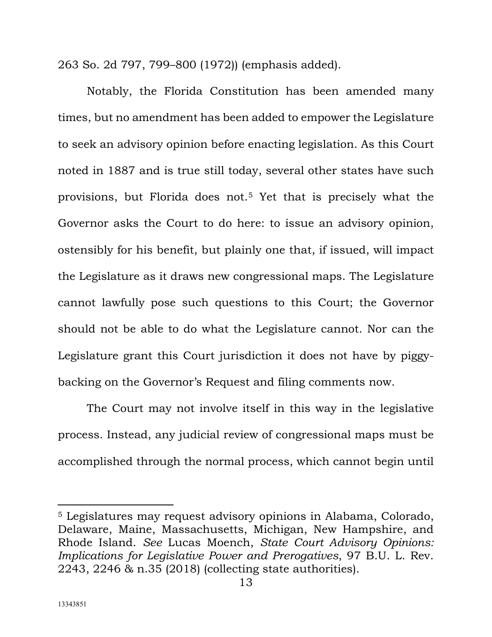263 So. 2d 797, 799–800 (1972)) (emphasis added).

Notably, the Florida Constitution has been amended many times, but no amendment has been added to empower the Legislature to seek an advisory opinion before enacting legislation. As this Court noted in 1887 and is true still today, several other states have such provisions, but Florida does not.[5](#page-17-0) Yet that is precisely what the Governor asks the Court to do here: to issue an advisory opinion, ostensibly for his benefit, but plainly one that, if issued, will impact the Legislature as it draws new congressional maps. The Legislature cannot lawfully pose such questions to this Court; the Governor should not be able to do what the Legislature cannot. Nor can the Legislature grant this Court jurisdiction it does not have by piggybacking on the Governor's Request and filing comments now.

The Court may not involve itself in this way in the legislative process. Instead, any judicial review of congressional maps must be accomplished through the normal process, which cannot begin until

<span id="page-17-0"></span><sup>5</sup> Legislatures may request advisory opinions in Alabama, Colorado, Delaware, Maine, Massachusetts, Michigan, New Hampshire, and Rhode Island. *See* Lucas Moench, *State Court Advisory Opinions: Implications for Legislative Power and Prerogatives*, 97 B.U. L. Rev. 2243, 2246 & n.35 (2018) (collecting state authorities).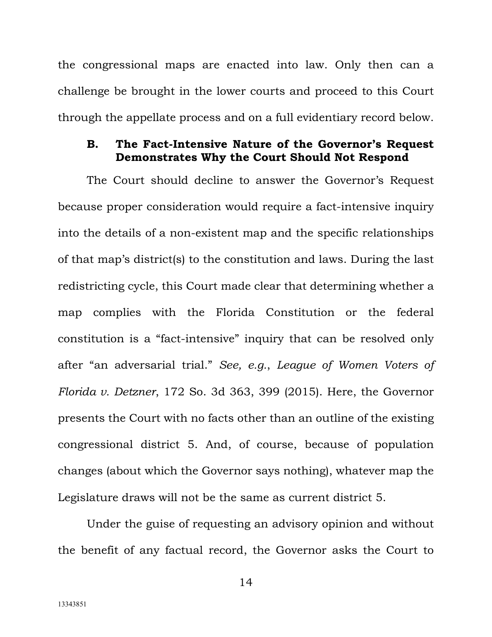the congressional maps are enacted into law. Only then can a challenge be brought in the lower courts and proceed to this Court through the appellate process and on a full evidentiary record below.

## <span id="page-18-0"></span>**B. The Fact-Intensive Nature of the Governor's Request Demonstrates Why the Court Should Not Respond**

The Court should decline to answer the Governor's Request because proper consideration would require a fact-intensive inquiry into the details of a non-existent map and the specific relationships of that map's district(s) to the constitution and laws. During the last redistricting cycle, this Court made clear that determining whether a map complies with the Florida Constitution or the federal constitution is a "fact-intensive" inquiry that can be resolved only after "an adversarial trial." *See, e.g.*, *League of Women Voters of Florida v. Detzner*, 172 So. 3d 363, 399 (2015). Here, the Governor presents the Court with no facts other than an outline of the existing congressional district 5. And, of course, because of population changes (about which the Governor says nothing), whatever map the Legislature draws will not be the same as current district 5.

Under the guise of requesting an advisory opinion and without the benefit of any factual record, the Governor asks the Court to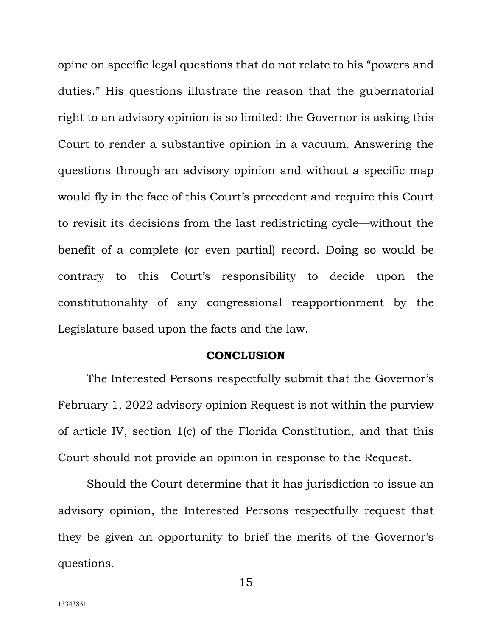opine on specific legal questions that do not relate to his "powers and duties." His questions illustrate the reason that the gubernatorial right to an advisory opinion is so limited: the Governor is asking this Court to render a substantive opinion in a vacuum. Answering the questions through an advisory opinion and without a specific map would fly in the face of this Court's precedent and require this Court to revisit its decisions from the last redistricting cycle—without the benefit of a complete (or even partial) record. Doing so would be contrary to this Court's responsibility to decide upon the constitutionality of any congressional reapportionment by the Legislature based upon the facts and the law.

#### **CONCLUSION**

<span id="page-19-0"></span>The Interested Persons respectfully submit that the Governor's February 1, 2022 advisory opinion Request is not within the purview of article IV, section 1(c) of the Florida Constitution, and that this Court should not provide an opinion in response to the Request.

Should the Court determine that it has jurisdiction to issue an advisory opinion, the Interested Persons respectfully request that they be given an opportunity to brief the merits of the Governor's questions.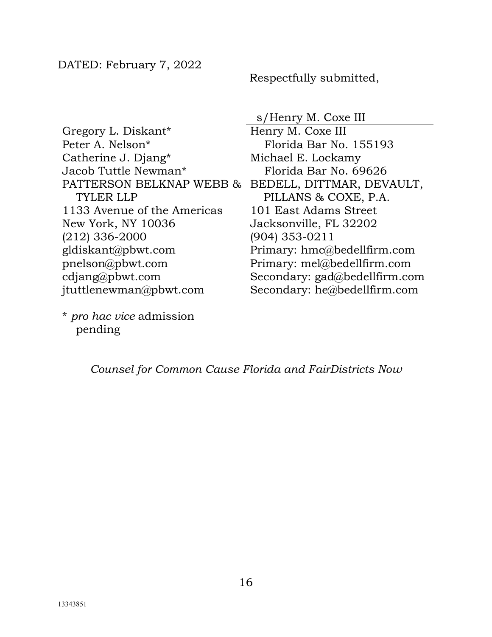Respectfully submitted,

# s/Henry M. Coxe III

Gregory L. Diskant\* Peter A. Nelson\* Catherine J. Djang\* Jacob Tuttle Newman\* PATTERSON BELKNAP WEBB & TYLER LLP 1133 Avenue of the Americas New York, NY 10036 (212) 336-2000 gldiskant@pbwt.com pnelson@pbwt.com cdjang@pbwt.com jtuttlenewman@pbwt.com

\* *pro hac vice* admission pending

Henry M. Coxe III Florida Bar No. 155193 Michael E. Lockamy Florida Bar No. 69626 BEDELL, DITTMAR, DEVAULT, PILLANS & COXE, P.A. 101 East Adams Street Jacksonville, FL 32202 (904) 353-0211 Primary: hmc@bedellfirm.com Primary: mel@bedellfirm.com Secondary: gad@bedellfirm.com Secondary: he@bedellfirm.com

*Counsel for Common Cause Florida and FairDistricts Now*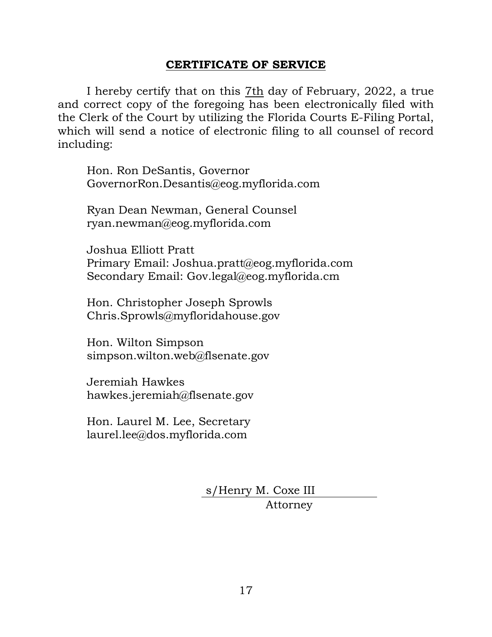# **CERTIFICATE OF SERVICE**

I hereby certify that on this 7th day of February, 2022, a true and correct copy of the foregoing has been electronically filed with the Clerk of the Court by utilizing the Florida Courts E-Filing Portal, which will send a notice of electronic filing to all counsel of record including:

Hon. Ron DeSantis, Governor GovernorRon.Desantis@eog.myflorida.com

Ryan Dean Newman, General Counsel ryan.newman@eog.myflorida.com

Joshua Elliott Pratt Primary Email: Joshua.pratt@eog.myflorida.com Secondary Email: Gov.legal@eog.myflorida.cm

Hon. Christopher Joseph Sprowls Chris.Sprowls@myfloridahouse.gov

Hon. Wilton Simpson simpson.wilton.web@flsenate.gov

Jeremiah Hawkes hawkes.jeremiah@flsenate.gov

Hon. Laurel M. Lee, Secretary laurel.lee@dos.myflorida.com

> s/Henry M. Coxe III Attorney